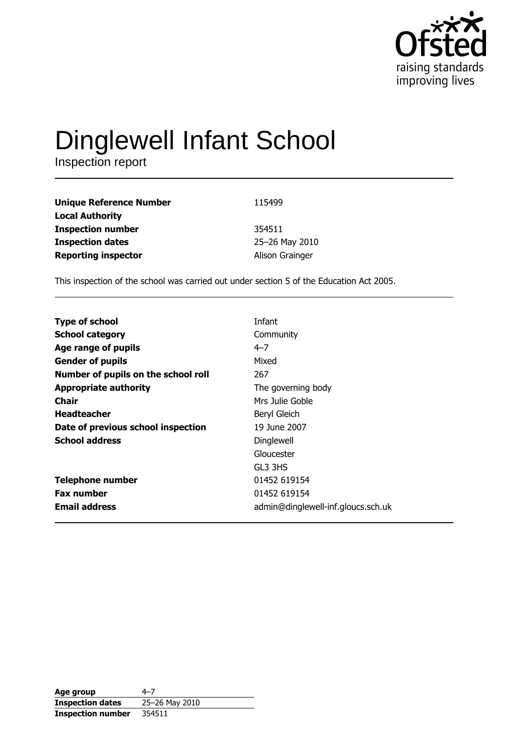

# Dinglewell Infant School

| <b>Unique Reference Number</b> | 115499          |
|--------------------------------|-----------------|
| <b>Local Authority</b>         |                 |
| <b>Inspection number</b>       | 354511          |
| <b>Inspection dates</b>        | 25-26 May 2010  |
| <b>Reporting inspector</b>     | Alison Grainger |

This inspection of the school was carried out under section 5 of the Education Act 2005.

| <b>Type of school</b>               | Infant                             |
|-------------------------------------|------------------------------------|
| <b>School category</b>              | Community                          |
| Age range of pupils                 | $4 - 7$                            |
| <b>Gender of pupils</b>             | Mixed                              |
| Number of pupils on the school roll | 267                                |
| <b>Appropriate authority</b>        | The governing body                 |
| Chair                               | Mrs Julie Goble                    |
| <b>Headteacher</b>                  | Beryl Gleich                       |
| Date of previous school inspection  | 19 June 2007                       |
| <b>School address</b>               | Dinglewell                         |
|                                     | Gloucester                         |
|                                     | GL3 3HS                            |
| <b>Telephone number</b>             | 01452 619154                       |
| <b>Fax number</b>                   | 01452 619154                       |
| <b>Email address</b>                | admin@dinglewell-inf.gloucs.sch.uk |

| Age group                | 4–7            |
|--------------------------|----------------|
| <b>Inspection dates</b>  | 25-26 May 2010 |
| <b>Inspection number</b> | 354511         |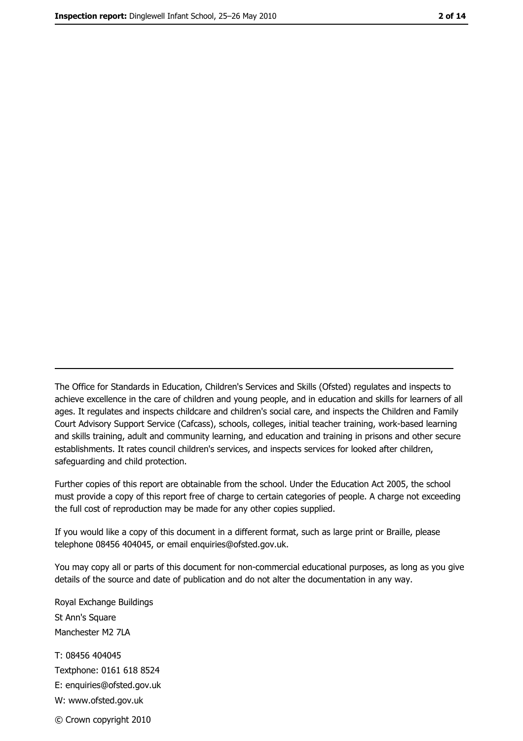The Office for Standards in Education, Children's Services and Skills (Ofsted) regulates and inspects to achieve excellence in the care of children and young people, and in education and skills for learners of all ages. It regulates and inspects childcare and children's social care, and inspects the Children and Family Court Advisory Support Service (Cafcass), schools, colleges, initial teacher training, work-based learning and skills training, adult and community learning, and education and training in prisons and other secure establishments. It rates council children's services, and inspects services for looked after children, safequarding and child protection.

Further copies of this report are obtainable from the school. Under the Education Act 2005, the school must provide a copy of this report free of charge to certain categories of people. A charge not exceeding the full cost of reproduction may be made for any other copies supplied.

If you would like a copy of this document in a different format, such as large print or Braille, please telephone 08456 404045, or email enquiries@ofsted.gov.uk.

You may copy all or parts of this document for non-commercial educational purposes, as long as you give details of the source and date of publication and do not alter the documentation in any way.

Royal Exchange Buildings St Ann's Square Manchester M2 7LA T: 08456 404045 Textphone: 0161 618 8524 E: enquiries@ofsted.gov.uk W: www.ofsted.gov.uk © Crown copyright 2010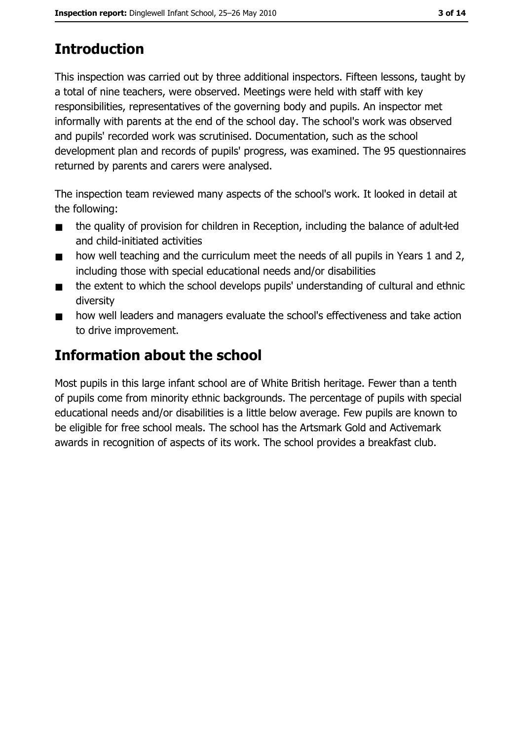# **Introduction**

This inspection was carried out by three additional inspectors. Fifteen lessons, taught by a total of nine teachers, were observed. Meetings were held with staff with key responsibilities, representatives of the governing body and pupils. An inspector met informally with parents at the end of the school day. The school's work was observed and pupils' recorded work was scrutinised. Documentation, such as the school development plan and records of pupils' progress, was examined. The 95 questionnaires returned by parents and carers were analysed.

The inspection team reviewed many aspects of the school's work. It looked in detail at the following:

- the quality of provision for children in Reception, including the balance of adult-led  $\blacksquare$ and child-initiated activities
- how well teaching and the curriculum meet the needs of all pupils in Years 1 and 2,  $\blacksquare$ including those with special educational needs and/or disabilities
- the extent to which the school develops pupils' understanding of cultural and ethnic  $\blacksquare$ diversity
- how well leaders and managers evaluate the school's effectiveness and take action  $\blacksquare$ to drive improvement.

## Information about the school

Most pupils in this large infant school are of White British heritage. Fewer than a tenth of pupils come from minority ethnic backgrounds. The percentage of pupils with special educational needs and/or disabilities is a little below average. Few pupils are known to be eligible for free school meals. The school has the Artsmark Gold and Activemark awards in recognition of aspects of its work. The school provides a breakfast club.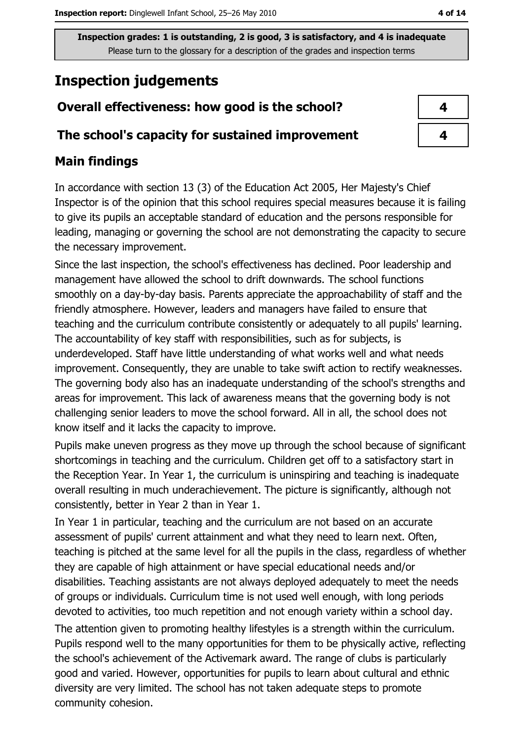## **Inspection judgements**

## Overall effectiveness: how good is the school?

#### The school's capacity for sustained improvement

### **Main findings**

In accordance with section 13 (3) of the Education Act 2005, Her Majesty's Chief Inspector is of the opinion that this school requires special measures because it is failing to give its pupils an acceptable standard of education and the persons responsible for leading, managing or governing the school are not demonstrating the capacity to secure the necessary improvement.

Since the last inspection, the school's effectiveness has declined. Poor leadership and management have allowed the school to drift downwards. The school functions smoothly on a day-by-day basis. Parents appreciate the approachability of staff and the friendly atmosphere. However, leaders and managers have failed to ensure that teaching and the curriculum contribute consistently or adequately to all pupils' learning. The accountability of key staff with responsibilities, such as for subjects, is underdeveloped. Staff have little understanding of what works well and what needs improvement. Consequently, they are unable to take swift action to rectify weaknesses. The governing body also has an inadequate understanding of the school's strengths and areas for improvement. This lack of awareness means that the governing body is not challenging senior leaders to move the school forward. All in all, the school does not know itself and it lacks the capacity to improve.

Pupils make uneven progress as they move up through the school because of significant shortcomings in teaching and the curriculum. Children get off to a satisfactory start in the Reception Year. In Year 1, the curriculum is uninspiring and teaching is inadequate overall resulting in much underachievement. The picture is significantly, although not consistently, better in Year 2 than in Year 1.

In Year 1 in particular, teaching and the curriculum are not based on an accurate assessment of pupils' current attainment and what they need to learn next. Often, teaching is pitched at the same level for all the pupils in the class, regardless of whether they are capable of high attainment or have special educational needs and/or disabilities. Teaching assistants are not always deployed adequately to meet the needs of groups or individuals. Curriculum time is not used well enough, with long periods devoted to activities, too much repetition and not enough variety within a school day.

The attention given to promoting healthy lifestyles is a strength within the curriculum. Pupils respond well to the many opportunities for them to be physically active, reflecting the school's achievement of the Activemark award. The range of clubs is particularly good and varied. However, opportunities for pupils to learn about cultural and ethnic diversity are very limited. The school has not taken adequate steps to promote community cohesion.

| 4 |
|---|
|   |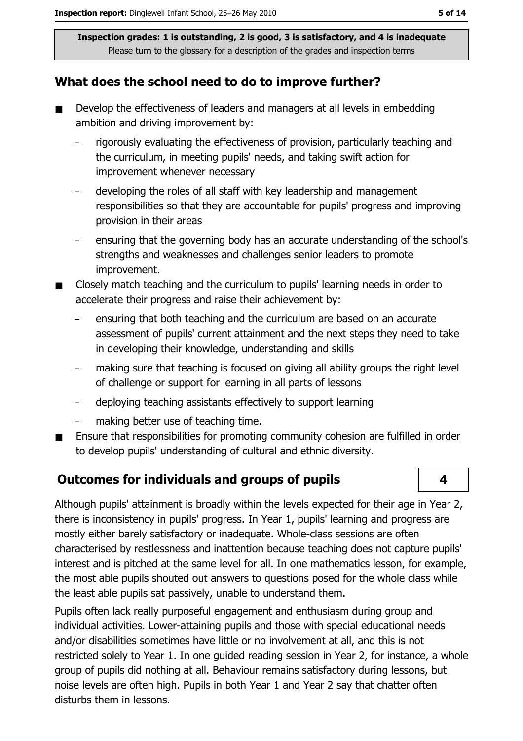#### What does the school need to do to improve further?

- Develop the effectiveness of leaders and managers at all levels in embedding  $\blacksquare$ ambition and driving improvement by:
	- rigorously evaluating the effectiveness of provision, particularly teaching and the curriculum, in meeting pupils' needs, and taking swift action for improvement whenever necessary
	- developing the roles of all staff with key leadership and management responsibilities so that they are accountable for pupils' progress and improving provision in their areas
	- ensuring that the governing body has an accurate understanding of the school's strengths and weaknesses and challenges senior leaders to promote improvement.
- Closely match teaching and the curriculum to pupils' learning needs in order to accelerate their progress and raise their achievement by:
	- ensuring that both teaching and the curriculum are based on an accurate assessment of pupils' current attainment and the next steps they need to take in developing their knowledge, understanding and skills
	- making sure that teaching is focused on giving all ability groups the right level of challenge or support for learning in all parts of lessons
	- deploying teaching assistants effectively to support learning  $\overline{\phantom{0}}$
	- making better use of teaching time.
- Ensure that responsibilities for promoting community cohesion are fulfilled in order to develop pupils' understanding of cultural and ethnic diversity.

#### **Outcomes for individuals and groups of pupils**

Although pupils' attainment is broadly within the levels expected for their age in Year 2, there is inconsistency in pupils' progress. In Year 1, pupils' learning and progress are mostly either barely satisfactory or inadequate. Whole-class sessions are often characterised by restlessness and inattention because teaching does not capture pupils' interest and is pitched at the same level for all. In one mathematics lesson, for example, the most able pupils shouted out answers to questions posed for the whole class while the least able pupils sat passively, unable to understand them.

Pupils often lack really purposeful engagement and enthusiasm during group and individual activities. Lower-attaining pupils and those with special educational needs and/or disabilities sometimes have little or no involvement at all, and this is not restricted solely to Year 1. In one guided reading session in Year 2, for instance, a whole group of pupils did nothing at all. Behaviour remains satisfactory during lessons, but noise levels are often high. Pupils in both Year 1 and Year 2 say that chatter often disturbs them in lessons.

 $\overline{\mathbf{4}}$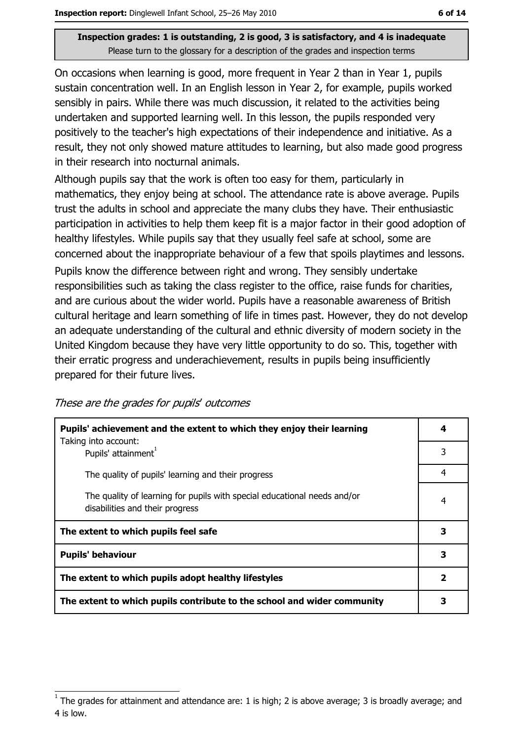On occasions when learning is good, more frequent in Year 2 than in Year 1, pupils sustain concentration well. In an English lesson in Year 2, for example, pupils worked sensibly in pairs. While there was much discussion, it related to the activities being undertaken and supported learning well. In this lesson, the pupils responded very positively to the teacher's high expectations of their independence and initiative. As a result, they not only showed mature attitudes to learning, but also made good progress in their research into nocturnal animals.

Although pupils say that the work is often too easy for them, particularly in mathematics, they enjoy being at school. The attendance rate is above average. Pupils trust the adults in school and appreciate the many clubs they have. Their enthusiastic participation in activities to help them keep fit is a major factor in their good adoption of healthy lifestyles. While pupils say that they usually feel safe at school, some are concerned about the inappropriate behaviour of a few that spoils playtimes and lessons.

Pupils know the difference between right and wrong. They sensibly undertake responsibilities such as taking the class register to the office, raise funds for charities, and are curious about the wider world. Pupils have a reasonable awareness of British cultural heritage and learn something of life in times past. However, they do not develop an adequate understanding of the cultural and ethnic diversity of modern society in the United Kingdom because they have very little opportunity to do so. This, together with their erratic progress and underachievement, results in pupils being insufficiently prepared for their future lives.

These are the grades for pupils' outcomes

| Pupils' achievement and the extent to which they enjoy their learning<br>Taking into account:               |   |  |
|-------------------------------------------------------------------------------------------------------------|---|--|
| Pupils' attainment <sup>1</sup>                                                                             | 3 |  |
| The quality of pupils' learning and their progress                                                          | 4 |  |
| The quality of learning for pupils with special educational needs and/or<br>disabilities and their progress | 4 |  |
| The extent to which pupils feel safe                                                                        | 3 |  |
| <b>Pupils' behaviour</b>                                                                                    | 3 |  |
| The extent to which pupils adopt healthy lifestyles                                                         |   |  |
| The extent to which pupils contribute to the school and wider community                                     |   |  |

The grades for attainment and attendance are: 1 is high; 2 is above average; 3 is broadly average; and 4 is low.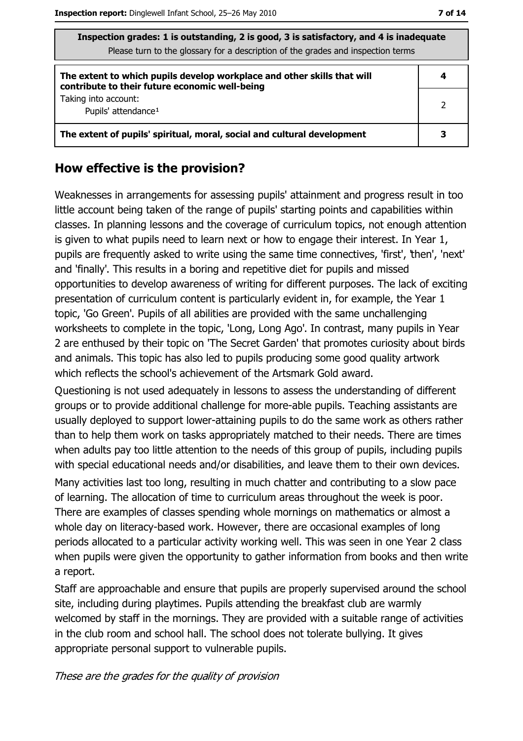| Inspection grades: 1 is outstanding, 2 is good, 3 is satisfactory, and 4 is inadequate<br>Please turn to the glossary for a description of the grades and inspection terms |   |  |  |
|----------------------------------------------------------------------------------------------------------------------------------------------------------------------------|---|--|--|
| The extent to which pupils develop workplace and other skills that will<br>contribute to their future economic well-being                                                  | 4 |  |  |
| Taking into account:<br>Pupils' attendance <sup>1</sup>                                                                                                                    | 2 |  |  |
| The extent of pupils' spiritual, moral, social and cultural development                                                                                                    |   |  |  |

#### How effective is the provision?

Weaknesses in arrangements for assessing pupils' attainment and progress result in too little account being taken of the range of pupils' starting points and capabilities within classes. In planning lessons and the coverage of curriculum topics, not enough attention is given to what pupils need to learn next or how to engage their interest. In Year 1, pupils are frequently asked to write using the same time connectives, 'first', 'then', 'next' and 'finally'. This results in a boring and repetitive diet for pupils and missed opportunities to develop awareness of writing for different purposes. The lack of exciting presentation of curriculum content is particularly evident in, for example, the Year 1 topic, 'Go Green'. Pupils of all abilities are provided with the same unchallenging worksheets to complete in the topic, 'Long, Long Ago'. In contrast, many pupils in Year 2 are enthused by their topic on 'The Secret Garden' that promotes curiosity about birds and animals. This topic has also led to pupils producing some good quality artwork which reflects the school's achievement of the Artsmark Gold award.

Questioning is not used adequately in lessons to assess the understanding of different groups or to provide additional challenge for more-able pupils. Teaching assistants are usually deployed to support lower-attaining pupils to do the same work as others rather than to help them work on tasks appropriately matched to their needs. There are times when adults pay too little attention to the needs of this group of pupils, including pupils with special educational needs and/or disabilities, and leave them to their own devices.

Many activities last too long, resulting in much chatter and contributing to a slow pace of learning. The allocation of time to curriculum areas throughout the week is poor. There are examples of classes spending whole mornings on mathematics or almost a whole day on literacy-based work. However, there are occasional examples of long periods allocated to a particular activity working well. This was seen in one Year 2 class when pupils were given the opportunity to gather information from books and then write a report.

Staff are approachable and ensure that pupils are properly supervised around the school site, including during playtimes. Pupils attending the breakfast club are warmly welcomed by staff in the mornings. They are provided with a suitable range of activities in the club room and school hall. The school does not tolerate bullying. It gives appropriate personal support to vulnerable pupils.

These are the grades for the quality of provision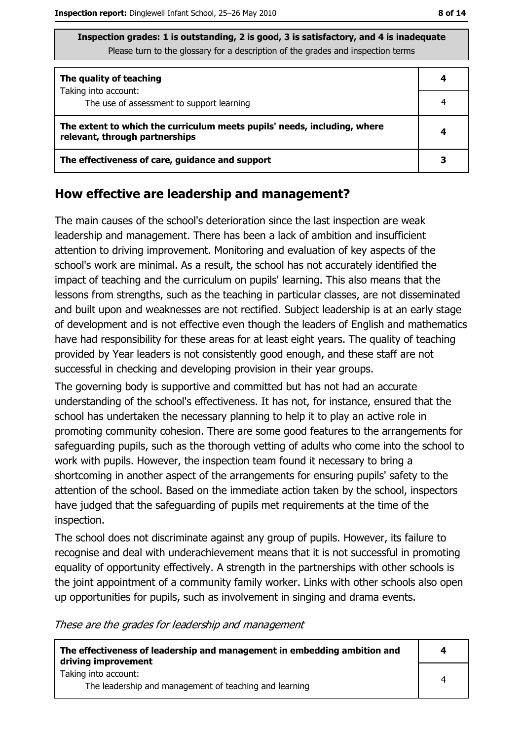| Inspection grades: 1 is outstanding, 2 is good, 3 is satisfactory, and 4 is inadequate |
|----------------------------------------------------------------------------------------|
| Please turn to the glossary for a description of the grades and inspection terms       |

| The quality of teaching                                                                                    |   |
|------------------------------------------------------------------------------------------------------------|---|
| Taking into account:<br>The use of assessment to support learning                                          |   |
|                                                                                                            |   |
| The extent to which the curriculum meets pupils' needs, including, where<br>relevant, through partnerships |   |
| The effectiveness of care, guidance and support                                                            | 3 |

#### How effective are leadership and management?

The main causes of the school's deterioration since the last inspection are weak leadership and management. There has been a lack of ambition and insufficient attention to driving improvement. Monitoring and evaluation of key aspects of the school's work are minimal. As a result, the school has not accurately identified the impact of teaching and the curriculum on pupils' learning. This also means that the lessons from strengths, such as the teaching in particular classes, are not disseminated and built upon and weaknesses are not rectified. Subject leadership is at an early stage of development and is not effective even though the leaders of English and mathematics have had responsibility for these areas for at least eight years. The quality of teaching provided by Year leaders is not consistently good enough, and these staff are not successful in checking and developing provision in their year groups.

The governing body is supportive and committed but has not had an accurate understanding of the school's effectiveness. It has not, for instance, ensured that the school has undertaken the necessary planning to help it to play an active role in promoting community cohesion. There are some good features to the arrangements for safeguarding pupils, such as the thorough vetting of adults who come into the school to work with pupils. However, the inspection team found it necessary to bring a shortcoming in another aspect of the arrangements for ensuring pupils' safety to the attention of the school. Based on the immediate action taken by the school, inspectors have judged that the safeguarding of pupils met reguirements at the time of the inspection.

The school does not discriminate against any group of pupils. However, its failure to recognise and deal with underachievement means that it is not successful in promoting equality of opportunity effectively. A strength in the partnerships with other schools is the joint appointment of a community family worker. Links with other schools also open up opportunities for pupils, such as involvement in singing and drama events.

These are the grades for leadership and management

| The effectiveness of leadership and management in embedding ambition and<br>driving improvement | 4 |
|-------------------------------------------------------------------------------------------------|---|
| Taking into account:<br>The leadership and management of teaching and learning                  | 4 |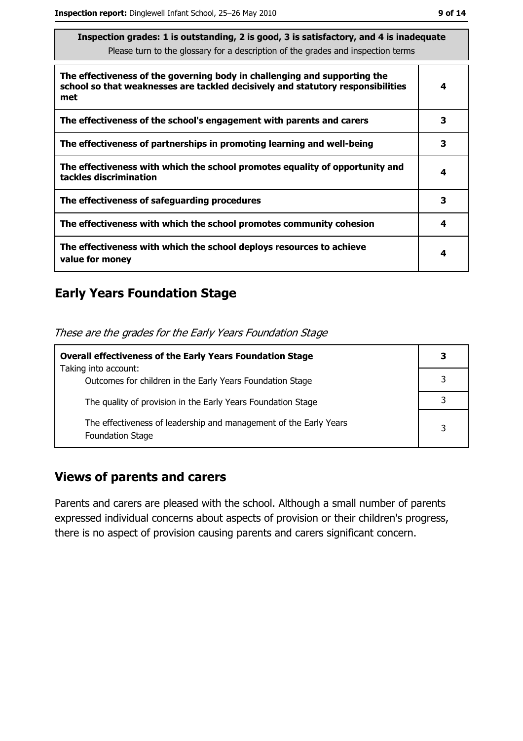| The effectiveness of the governing body in challenging and supporting the<br>school so that weaknesses are tackled decisively and statutory responsibilities<br>met |   |  |  |
|---------------------------------------------------------------------------------------------------------------------------------------------------------------------|---|--|--|
| The effectiveness of the school's engagement with parents and carers                                                                                                | 3 |  |  |
| The effectiveness of partnerships in promoting learning and well-being                                                                                              | 3 |  |  |
| The effectiveness with which the school promotes equality of opportunity and<br>tackles discrimination                                                              |   |  |  |
| The effectiveness of safeguarding procedures                                                                                                                        | 3 |  |  |
| The effectiveness with which the school promotes community cohesion                                                                                                 | 4 |  |  |
| The effectiveness with which the school deploys resources to achieve<br>value for money                                                                             |   |  |  |

## **Early Years Foundation Stage**

These are the grades for the Early Years Foundation Stage

| <b>Overall effectiveness of the Early Years Foundation Stage</b>                             |   |
|----------------------------------------------------------------------------------------------|---|
| Taking into account:                                                                         |   |
| Outcomes for children in the Early Years Foundation Stage                                    |   |
| The quality of provision in the Early Years Foundation Stage                                 |   |
|                                                                                              |   |
| The effectiveness of leadership and management of the Early Years<br><b>Foundation Stage</b> | 3 |

#### **Views of parents and carers**

Parents and carers are pleased with the school. Although a small number of parents expressed individual concerns about aspects of provision or their children's progress, there is no aspect of provision causing parents and carers significant concern.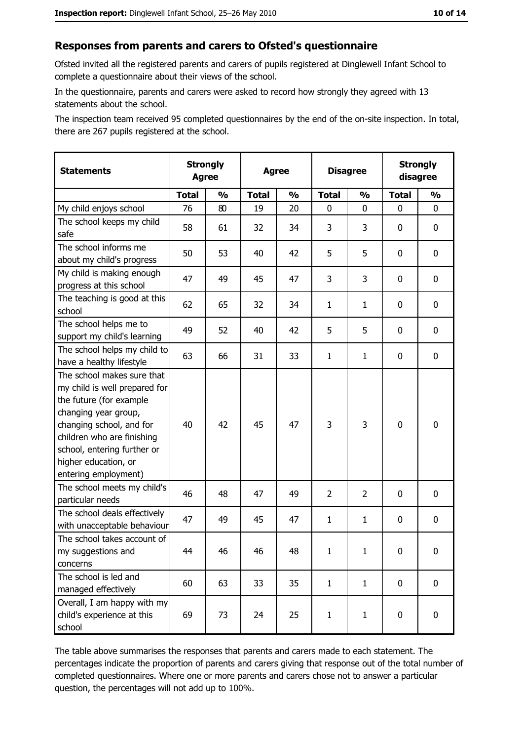#### Responses from parents and carers to Ofsted's questionnaire

Ofsted invited all the registered parents and carers of pupils registered at Dinglewell Infant School to complete a questionnaire about their views of the school.

In the questionnaire, parents and carers were asked to record how strongly they agreed with 13 statements about the school.

The inspection team received 95 completed questionnaires by the end of the on-site inspection. In total, there are 267 pupils registered at the school.

| <b>Statements</b>                                                                                                                                                                                                                                       | <b>Strongly</b><br><b>Agree</b> |               | <b>Agree</b> |               |                | <b>Disagree</b> |              | <b>Strongly</b><br>disagree |
|---------------------------------------------------------------------------------------------------------------------------------------------------------------------------------------------------------------------------------------------------------|---------------------------------|---------------|--------------|---------------|----------------|-----------------|--------------|-----------------------------|
|                                                                                                                                                                                                                                                         | <b>Total</b>                    | $\frac{1}{2}$ | <b>Total</b> | $\frac{0}{0}$ | <b>Total</b>   | $\frac{1}{2}$   | <b>Total</b> | $\frac{1}{2}$               |
| My child enjoys school                                                                                                                                                                                                                                  | 76                              | 80            | 19           | 20            | 0              | 0               | $\Omega$     | 0                           |
| The school keeps my child<br>safe                                                                                                                                                                                                                       | 58                              | 61            | 32           | 34            | 3              | 3               | $\mathbf{0}$ | 0                           |
| The school informs me<br>about my child's progress                                                                                                                                                                                                      | 50                              | 53            | 40           | 42            | 5              | 5               | 0            | 0                           |
| My child is making enough<br>progress at this school                                                                                                                                                                                                    | 47                              | 49            | 45           | 47            | 3              | 3               | 0            | 0                           |
| The teaching is good at this<br>school                                                                                                                                                                                                                  | 62                              | 65            | 32           | 34            | $\mathbf{1}$   | $\mathbf{1}$    | 0            | 0                           |
| The school helps me to<br>support my child's learning                                                                                                                                                                                                   | 49                              | 52            | 40           | 42            | 5              | 5               | 0            | 0                           |
| The school helps my child to<br>have a healthy lifestyle                                                                                                                                                                                                | 63                              | 66            | 31           | 33            | $\mathbf{1}$   | $\mathbf{1}$    | 0            | 0                           |
| The school makes sure that<br>my child is well prepared for<br>the future (for example<br>changing year group,<br>changing school, and for<br>children who are finishing<br>school, entering further or<br>higher education, or<br>entering employment) | 40                              | 42            | 45           | 47            | 3              | 3               | $\mathbf 0$  | 0                           |
| The school meets my child's<br>particular needs                                                                                                                                                                                                         | 46                              | 48            | 47           | 49            | $\overline{2}$ | $\overline{2}$  | 0            | 0                           |
| The school deals effectively<br>with unacceptable behaviour                                                                                                                                                                                             | 47                              | 49            | 45           | 47            | $\mathbf{1}$   | $\mathbf{1}$    | 0            | 0                           |
| The school takes account of<br>my suggestions and<br>concerns                                                                                                                                                                                           | 44                              | 46            | 46           | 48            | $\mathbf{1}$   | $\mathbf{1}$    | 0            | 0                           |
| The school is led and<br>managed effectively                                                                                                                                                                                                            | 60                              | 63            | 33           | 35            | $\mathbf{1}$   | $\mathbf{1}$    | 0            | $\mathbf 0$                 |
| Overall, I am happy with my<br>child's experience at this<br>school                                                                                                                                                                                     | 69                              | 73            | 24           | 25            | $\mathbf{1}$   | $\mathbf{1}$    | $\mathbf 0$  | 0                           |

The table above summarises the responses that parents and carers made to each statement. The percentages indicate the proportion of parents and carers giving that response out of the total number of completed questionnaires. Where one or more parents and carers chose not to answer a particular question, the percentages will not add up to 100%.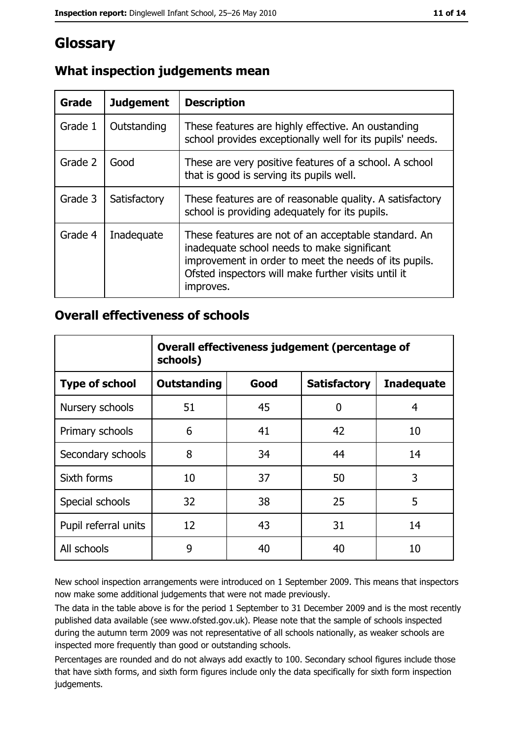## Glossary

| Grade   | <b>Judgement</b> | <b>Description</b>                                                                                                                                                                                                               |  |
|---------|------------------|----------------------------------------------------------------------------------------------------------------------------------------------------------------------------------------------------------------------------------|--|
| Grade 1 | Outstanding      | These features are highly effective. An oustanding<br>school provides exceptionally well for its pupils' needs.                                                                                                                  |  |
| Grade 2 | Good             | These are very positive features of a school. A school<br>that is good is serving its pupils well.                                                                                                                               |  |
| Grade 3 | Satisfactory     | These features are of reasonable quality. A satisfactory<br>school is providing adequately for its pupils.                                                                                                                       |  |
| Grade 4 | Inadequate       | These features are not of an acceptable standard. An<br>inadequate school needs to make significant<br>improvement in order to meet the needs of its pupils.<br>Ofsted inspectors will make further visits until it<br>improves. |  |

## What inspection judgements mean

#### **Overall effectiveness of schools**

|                       | Overall effectiveness judgement (percentage of<br>schools) |      |                     |                   |  |  |
|-----------------------|------------------------------------------------------------|------|---------------------|-------------------|--|--|
| <b>Type of school</b> | <b>Outstanding</b>                                         | Good | <b>Satisfactory</b> | <b>Inadequate</b> |  |  |
| Nursery schools       | 51                                                         | 45   | 0                   | 4                 |  |  |
| Primary schools       | 6                                                          | 41   | 42                  | 10                |  |  |
| Secondary schools     | 8                                                          | 34   | 44                  | 14                |  |  |
| Sixth forms           | 10                                                         | 37   | 50                  | 3                 |  |  |
| Special schools       | 32                                                         | 38   | 25                  | 5                 |  |  |
| Pupil referral units  | 12                                                         | 43   | 31                  | 14                |  |  |
| All schools           | 9                                                          | 40   | 40                  | 10                |  |  |

New school inspection arrangements were introduced on 1 September 2009. This means that inspectors now make some additional judgements that were not made previously.

The data in the table above is for the period 1 September to 31 December 2009 and is the most recently published data available (see www.ofsted.gov.uk). Please note that the sample of schools inspected during the autumn term 2009 was not representative of all schools nationally, as weaker schools are inspected more frequently than good or outstanding schools.

Percentages are rounded and do not always add exactly to 100. Secondary school figures include those that have sixth forms, and sixth form figures include only the data specifically for sixth form inspection judgements.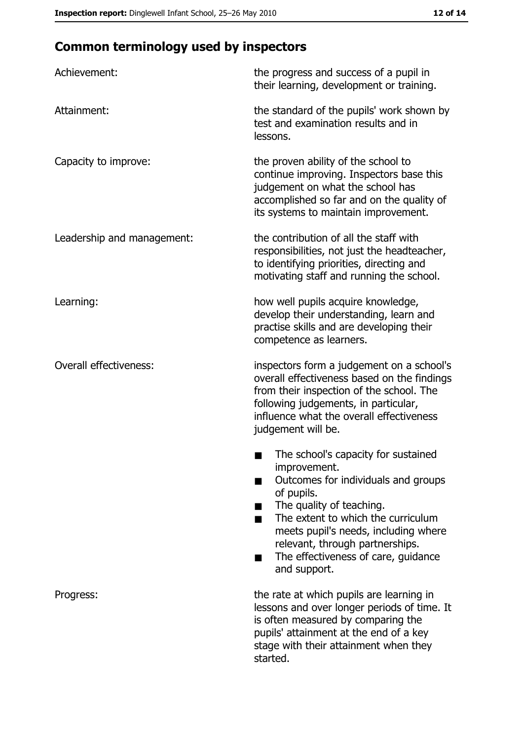## **Common terminology used by inspectors**

| Achievement:                  | the progress and success of a pupil in<br>their learning, development or training.                                                                                                                                                                                                                           |  |  |
|-------------------------------|--------------------------------------------------------------------------------------------------------------------------------------------------------------------------------------------------------------------------------------------------------------------------------------------------------------|--|--|
| Attainment:                   | the standard of the pupils' work shown by<br>test and examination results and in<br>lessons.                                                                                                                                                                                                                 |  |  |
| Capacity to improve:          | the proven ability of the school to<br>continue improving. Inspectors base this<br>judgement on what the school has<br>accomplished so far and on the quality of<br>its systems to maintain improvement.                                                                                                     |  |  |
| Leadership and management:    | the contribution of all the staff with<br>responsibilities, not just the headteacher,<br>to identifying priorities, directing and<br>motivating staff and running the school.                                                                                                                                |  |  |
| Learning:                     | how well pupils acquire knowledge,<br>develop their understanding, learn and<br>practise skills and are developing their<br>competence as learners.                                                                                                                                                          |  |  |
| <b>Overall effectiveness:</b> | inspectors form a judgement on a school's<br>overall effectiveness based on the findings<br>from their inspection of the school. The<br>following judgements, in particular,<br>influence what the overall effectiveness<br>judgement will be.                                                               |  |  |
|                               | The school's capacity for sustained<br>improvement.<br>Outcomes for individuals and groups<br>of pupils.<br>The quality of teaching.<br>The extent to which the curriculum<br>meets pupil's needs, including where<br>relevant, through partnerships.<br>The effectiveness of care, guidance<br>and support. |  |  |
| Progress:                     | the rate at which pupils are learning in<br>lessons and over longer periods of time. It<br>is often measured by comparing the<br>pupils' attainment at the end of a key<br>stage with their attainment when they<br>started.                                                                                 |  |  |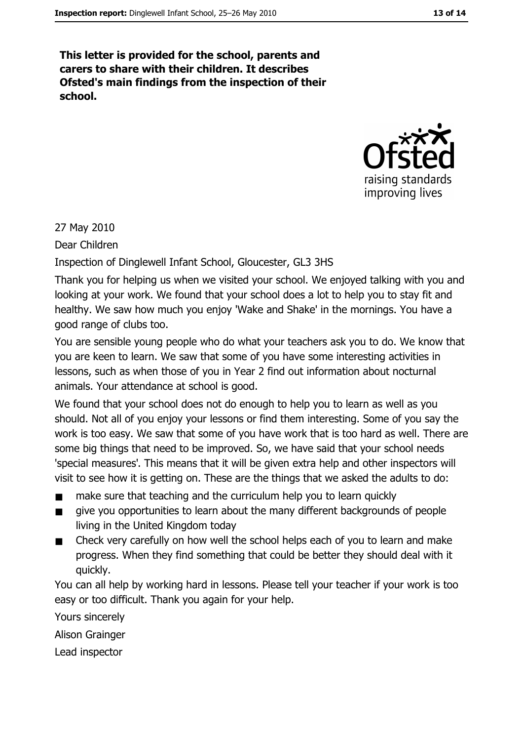This letter is provided for the school, parents and carers to share with their children. It describes Ofsted's main findings from the inspection of their school.



27 May 2010

Dear Children

Inspection of Dinglewell Infant School, Gloucester, GL3 3HS

Thank you for helping us when we visited your school. We enjoyed talking with you and looking at your work. We found that your school does a lot to help you to stay fit and healthy. We saw how much you enjoy 'Wake and Shake' in the mornings. You have a good range of clubs too.

You are sensible young people who do what your teachers ask you to do. We know that you are keen to learn. We saw that some of you have some interesting activities in lessons, such as when those of you in Year 2 find out information about nocturnal animals. Your attendance at school is good.

We found that your school does not do enough to help you to learn as well as you should. Not all of you enjoy your lessons or find them interesting. Some of you say the work is too easy. We saw that some of you have work that is too hard as well. There are some big things that need to be improved. So, we have said that your school needs 'special measures'. This means that it will be given extra help and other inspectors will visit to see how it is getting on. These are the things that we asked the adults to do:

- make sure that teaching and the curriculum help you to learn quickly  $\blacksquare$
- give you opportunities to learn about the many different backgrounds of people  $\blacksquare$ living in the United Kingdom today
- Check very carefully on how well the school helps each of you to learn and make  $\blacksquare$ progress. When they find something that could be better they should deal with it quickly.

You can all help by working hard in lessons. Please tell your teacher if your work is too easy or too difficult. Thank you again for your help.

Yours sincerely **Alison Grainger** Lead inspector